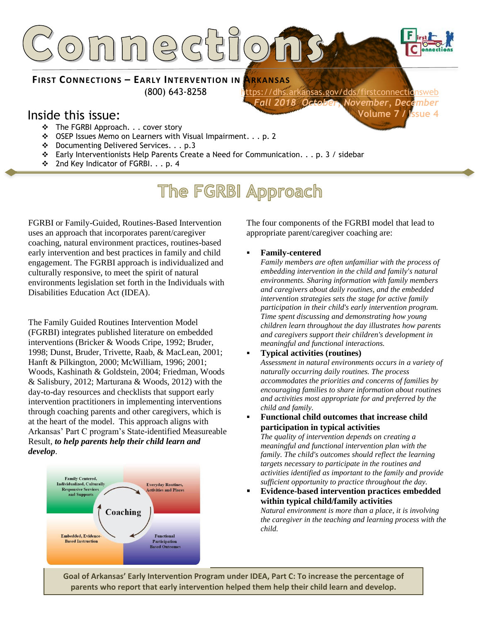

**FIRST CONNECTIONS – EARLY INTERVENTION IN ARKANSAS**

(800) 643-8258 <https://dhs.arkansas.gov/dds/firstconnectionsweb> *Fall 2018 October, November, December*  **Volume 7 / Issue 4**

### Inside this issue:

- ❖ The FGRBI Approach. . . cover story
- ❖ OSEP Issues Memo on Learners with Visual Impairment. . . p. 2
- ❖ Documenting Delivered Services. . . p.3
- ❖ Early Interventionists Help Parents Create a Need for Communication. . . p. 3 / sidebar
- ❖ 2nd Key Indicator of FGRBI. . . p. 4

## **The FGRBI Approach**

FGRBI or Family-Guided, Routines-Based Intervention uses an approach that incorporates parent/caregiver coaching, natural environment practices, routines-based early intervention and best practices in family and child engagement. The FGRBI approach is individualized and culturally responsive, to meet the spirit of natural environments legislation set forth in the Individuals with Disabilities Education Act (IDEA).

The Family Guided Routines Intervention Model (FGRBI) integrates published literature on embedded interventions (Bricker & Woods Cripe, 1992; Bruder, 1998; Dunst, Bruder, Trivette, Raab, & MacLean, 2001; Hanft & Pilkington, 2000; McWilliam, 1996; 2001; Woods, Kashinath & Goldstein, 2004; Friedman, Woods & Salisbury, 2012; Marturana & Woods, 2012) with the day-to-day resources and checklists that support early intervention practitioners in implementing interventions through coaching parents and other caregivers, which is at the heart of the model. This approach aligns with Arkansas' Part C program's State-identified Measureable Result, *to help parents help their child learn and develop*.



The four components of the FGRBI model that lead to appropriate parent/caregiver coaching are:

#### ▪ **Family-centered**

*Family members are often unfamiliar with the process of embedding intervention in the child and family's natural environments. Sharing information with family members and caregivers about daily routines, and the embedded intervention strategies sets the stage for active family participation in their child's early intervention program. Time spent discussing and demonstrating how young children learn throughout the day illustrates how parents and caregivers support their children's development in meaningful and functional interactions.*

#### ▪ **Typical activities (routines)**

*Assessment in natural environments occurs in a variety of naturally occurring daily routines. The process accommodates the priorities and concerns of families by encouraging families to share information about routines and activities most appropriate for and preferred by the child and family.*

▪ **Functional child outcomes that increase child participation in typical activities** 

*The quality of intervention depends on creating a meaningful and functional intervention plan with the family. The child's outcomes should reflect the learning targets necessary to participate in the routines and activities identified as important to the family and provide sufficient opportunity to practice throughout the day.* 

▪ **Evidence-based intervention practices embedded within typical child/family activities** *Natural environment is more than a place, it is involving the caregiver in the teaching and learning process with the child.* 

**Goal of Arkansas' Early Intervention Program under IDEA, Part C: To increase the percentage of parents who report that early intervention helped them help their child learn and develop.**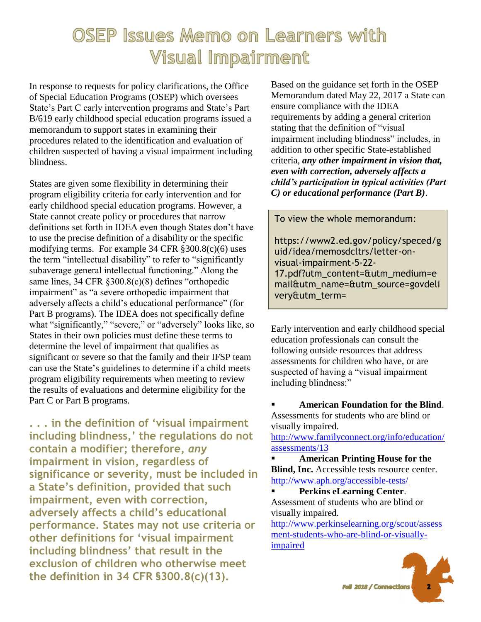## OSEP Issues Memo on Learners with **Visual Impairment**

In response to requests for policy clarifications, the Office of Special Education Programs (OSEP) which oversees State's Part C early intervention programs and State's Part B/619 early childhood special education programs issued a memorandum to support states in examining their procedures related to the identification and evaluation of children suspected of having a visual impairment including blindness.

States are given some flexibility in determining their program eligibility criteria for early intervention and for early childhood special education programs. However, a State cannot create policy or procedures that narrow definitions set forth in IDEA even though States don't have to use the precise definition of a disability or the specific modifying terms. For example 34 CFR §300.8(c)(6) uses the term "intellectual disability" to refer to "significantly subaverage general intellectual functioning." Along the same lines, 34 CFR §300.8(c)(8) defines "orthopedic impairment" as "a severe orthopedic impairment that adversely affects a child's educational performance" (for Part B programs). The IDEA does not specifically define what "significantly," "severe," or "adversely" looks like, so States in their own policies must define these terms to determine the level of impairment that qualifies as significant or severe so that the family and their IFSP team can use the State's guidelines to determine if a child meets program eligibility requirements when meeting to review the results of evaluations and determine eligibility for the Part C or Part B programs.

**. . . in the definition of 'visual impairment including blindness,' the regulations do not contain a modifier; therefore,** *any*  **impairment in vision, regardless of significance or severity, must be included in a State's definition, provided that such impairment, even with correction, adversely affects a child's educational performance. States may not use criteria or other definitions for 'visual impairment including blindness' that result in the exclusion of children who otherwise meet the definition in 34 CFR §300.8(c)(13).**

Based on the guidance set forth in the OSEP Memorandum dated May 22, 2017 a State can ensure compliance with the IDEA requirements by adding a general criterion stating that the definition of "visual impairment including blindness" includes, in addition to other specific State-established criteria, *any other impairment in vision that, even with correction, adversely affects a child's participation in typical activities (Part C) or educational performance (Part B)*.

To view the whole memorandum:

https://www2.ed.gov/policy/speced/g uid/idea/memosdcltrs/letter-onvisual-impairment-5-22- 17.pdf?utm\_content=&utm\_medium=e mail&utm\_name=&utm\_source=govdeli very&utm\_term=

Early intervention and early childhood special education professionals can consult the following outside resources that address assessments for children who have, or are suspected of having a "visual impairment including blindness:"

▪ **American Foundation for the Blind**. Assessments for students who are blind or visually impaired.

[http://www.familyconnect.org/info/education/](http://www.familyconnect.org/info/education/assessments/13) [assessments/13](http://www.familyconnect.org/info/education/assessments/13)

▪ **American Printing House for the Blind, Inc.** Accessible tests resource center. <http://www.aph.org/accessible-tests/>

▪ **Perkins eLearning Center**. Assessment of students who are blind or visually impaired.

[http://www.perkinselearning.org/scout/assess](http://www.perkinselearning.org/scout/assessment-students-who-are-blind-or-visually-impaired) [ment-students-who-are-blind-or-visually](http://www.perkinselearning.org/scout/assessment-students-who-are-blind-or-visually-impaired)[impaired](http://www.perkinselearning.org/scout/assessment-students-who-are-blind-or-visually-impaired)

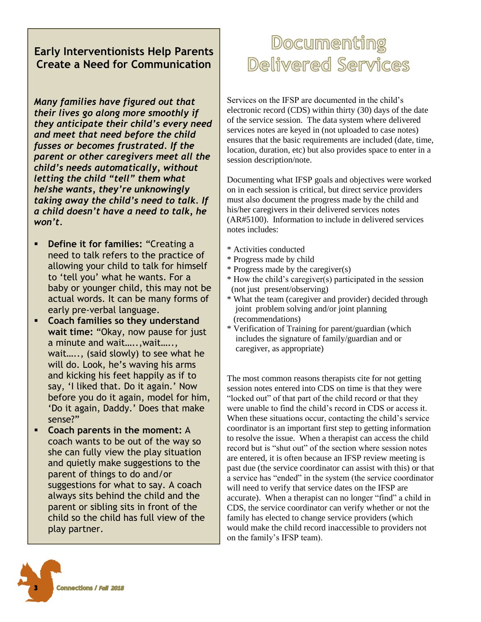#### **Early Interventionists Help Parents Create a Need for Communication**

*Many families have figured out that their lives go along more smoothly if they anticipate their child's every need and meet that need before the child fusses or becomes frustrated. If the parent or other caregivers meet all the child's needs automatically, without letting the child "tell" them what he/she wants, they're unknowingly taking away the child's need to talk. If a child doesn't have a need to talk, he won't.*

- **Define it for families:** "Creating a need to talk refers to the practice of allowing your child to talk for himself to 'tell you' what he wants. For a baby or younger child, this may not be actual words. It can be many forms of early pre-verbal language.
- **Coach families so they understand wait time:** "Okay, now pause for just a minute and wait…..,wait….., wait….., (said slowly) to see what he will do. Look, he's waving his arms and kicking his feet happily as if to say, 'I liked that. Do it again.' Now before you do it again, model for him, 'Do it again, Daddy.' Does that make sense?"
- **Coach parents in the moment:** A coach wants to be out of the way so she can fully view the play situation and quietly make suggestions to the parent of things to do and/or suggestions for what to say. A coach always sits behind the child and the parent or sibling sits in front of the child so the child has full view of the play partner.

# Documenting Delivered Services

Services on the IFSP are documented in the child's electronic record (CDS) within thirty (30) days of the date of the service session. The data system where delivered services notes are keyed in (not uploaded to case notes) ensures that the basic requirements are included (date, time, location, duration, etc) but also provides space to enter in a session description/note.

Documenting what IFSP goals and objectives were worked on in each session is critical, but direct service providers must also document the progress made by the child and his/her caregivers in their delivered services notes (AR#5100). Information to include in delivered services notes includes:

- \* Activities conducted
- \* Progress made by child
- \* Progress made by the caregiver(s)
- \* How the child's caregiver(s) participated in the session (not just present/observing)
- \* What the team (caregiver and provider) decided through joint problem solving and/or joint planning (recommendations)
- \* Verification of Training for parent/guardian (which includes the signature of family/guardian and or caregiver, as appropriate)

The most common reasons therapists cite for not getting session notes entered into CDS on time is that they were "locked out" of that part of the child record or that they were unable to find the child's record in CDS or access it. When these situations occur, contacting the child's service coordinator is an important first step to getting information to resolve the issue. When a therapist can access the child record but is "shut out" of the section where session notes are entered, it is often because an IFSP review meeting is past due (the service coordinator can assist with this) or that a service has "ended" in the system (the service coordinator will need to verify that service dates on the IFSP are accurate). When a therapist can no longer "find" a child in CDS, the service coordinator can verify whether or not the family has elected to change service providers (which would make the child record inaccessible to providers not on the family's IFSP team).